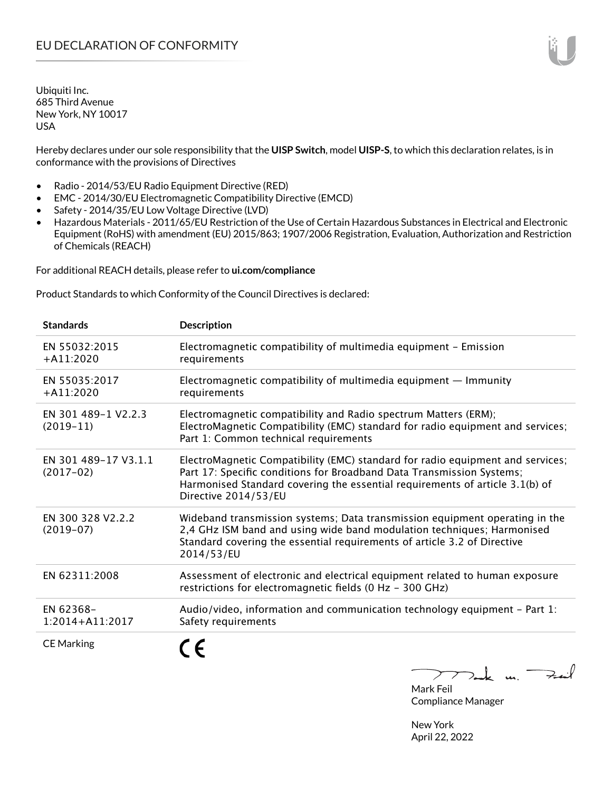Hereby declares under our sole responsibility that the **UISP Switch**, model **UISP-S**, to which this declaration relates, is in conformance with the provisions of Directives

- Radio 2014/53/EU Radio Equipment Directive (RED)
- EMC 2014/30/EU Electromagnetic Compatibility Directive (EMCD)
- Safety 2014/35/EU Low Voltage Directive (LVD)
- Hazardous Materials 2011/65/EU Restriction of the Use of Certain Hazardous Substances in Electrical and Electronic Equipment (RoHS) with amendment (EU) 2015/863; 1907/2006 Registration, Evaluation, Authorization and Restriction of Chemicals (REACH)

For additional REACH details, please refer to **ui.com/compliance**

Product Standards to which Conformity of the Council Directives is declared:

| <b>Standards</b>                    | <b>Description</b>                                                                                                                                                                                                                                              |
|-------------------------------------|-----------------------------------------------------------------------------------------------------------------------------------------------------------------------------------------------------------------------------------------------------------------|
| EN 55032:2015<br>$+A11:2020$        | Electromagnetic compatibility of multimedia equipment - Emission<br>requirements                                                                                                                                                                                |
| EN 55035:2017<br>$+A11:2020$        | Electromagnetic compatibility of multimedia equipment $-$ Immunity<br>requirements                                                                                                                                                                              |
| EN 301 489-1 V2.2.3<br>$(2019-11)$  | Electromagnetic compatibility and Radio spectrum Matters (ERM);<br>ElectroMagnetic Compatibility (EMC) standard for radio equipment and services;<br>Part 1: Common technical requirements                                                                      |
| EN 301 489-17 V3.1.1<br>$(2017-02)$ | ElectroMagnetic Compatibility (EMC) standard for radio equipment and services;<br>Part 17: Specific conditions for Broadband Data Transmission Systems;<br>Harmonised Standard covering the essential requirements of article 3.1(b) of<br>Directive 2014/53/EU |
| EN 300 328 V2.2.2<br>$(2019-07)$    | Wideband transmission systems; Data transmission equipment operating in the<br>2,4 GHz ISM band and using wide band modulation techniques; Harmonised<br>Standard covering the essential requirements of article 3.2 of Directive<br>2014/53/EU                 |
| EN 62311:2008                       | Assessment of electronic and electrical equipment related to human exposure<br>restrictions for electromagnetic fields (0 Hz - 300 GHz)                                                                                                                         |
| EN 62368-<br>$1:2014 + A11:2017$    | Audio/video, information and communication technology equipment $-$ Part 1:<br>Safety requirements                                                                                                                                                              |
| <b>CE Marking</b>                   |                                                                                                                                                                                                                                                                 |

 $m \rightarrow \infty$ 

Mark Feil Compliance Manager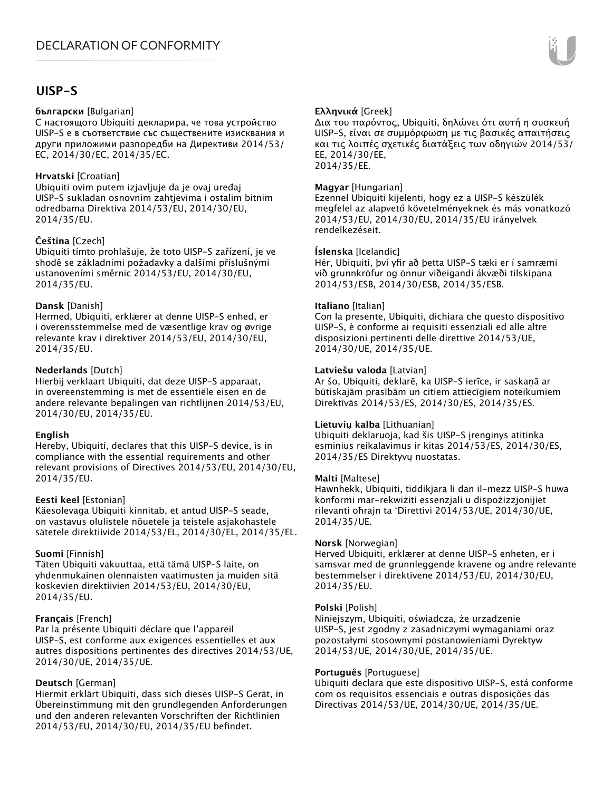# **UISP-S**

#### **български** [Bulgarian]

С настоящото Ubiquiti декларира, че това устройство UISP-S е в съответствие със съществените изисквания и други приложими разпоредби на Директиви 2014/53/ EC, 2014/30/ЕС, 2014/35/ЕС.

#### **Hrvatski** [Croatian]

Ubiquiti ovim putem izjavljuje da je ovaj uređaj UISP-S sukladan osnovnim zahtjevima i ostalim bitnim odredbama Direktiva 2014/53/EU, 2014/30/EU, 2014/35/EU.

## **Čeština** [Czech]

Ubiquiti tímto prohlašuje, že toto UISP-S zařízení, je ve shodě se základními požadavky a dalšími příslušnými ustanoveními směrnic 2014/53/EU, 2014/30/EU, 2014/35/EU.

#### **Dansk** [Danish]

Hermed, Ubiquiti, erklærer at denne UISP-S enhed, er i overensstemmelse med de væsentlige krav og øvrige relevante krav i direktiver 2014/53/EU, 2014/30/EU, 2014/35/EU.

## **Nederlands** [Dutch]

Hierbij verklaart Ubiquiti, dat deze UISP-S apparaat, in overeenstemming is met de essentiële eisen en de andere relevante bepalingen van richtlijnen 2014/53/EU, 2014/30/EU, 2014/35/EU.

#### **English**

Hereby, Ubiquiti, declares that this UISP-S device, is in compliance with the essential requirements and other relevant provisions of Directives 2014/53/EU, 2014/30/EU, 2014/35/EU.

#### **Eesti keel** [Estonian]

Käesolevaga Ubiquiti kinnitab, et antud UISP-S seade, on vastavus olulistele nõuetele ja teistele asjakohastele sätetele direktiivide 2014/53/EL, 2014/30/EL, 2014/35/EL.

#### **Suomi** [Finnish]

Täten Ubiquiti vakuuttaa, että tämä UISP-S laite, on yhdenmukainen olennaisten vaatimusten ja muiden sitä koskevien direktiivien 2014/53/EU, 2014/30/EU, 2014/35/EU.

## **Français** [French]

Par la présente Ubiquiti déclare que l'appareil UISP-S, est conforme aux exigences essentielles et aux autres dispositions pertinentes des directives 2014/53/UE, 2014/30/UE, 2014/35/UE.

## **Deutsch** [German]

Hiermit erklärt Ubiquiti, dass sich dieses UISP-S Gerät, in Übereinstimmung mit den grundlegenden Anforderungen und den anderen relevanten Vorschriften der Richtlinien 2014/53/EU, 2014/30/EU, 2014/35/EU befindet.

## **Ελληνικά** [Greek]

Δια του παρόντος, Ubiquiti, δηλώνει ότι αυτή η συσκευή UISP-S, είναι σε συμμόρφωση με τις βασικές απαιτήσεις και τις λοιπές σχετικές διατάξεις των οδηγιών 2014/53/ EE, 2014/30/EE, 2014/35/EE.

#### **Magyar** [Hungarian]

Ezennel Ubiquiti kijelenti, hogy ez a UISP-S készülék megfelel az alapvető követelményeknek és más vonatkozó 2014/53/EU, 2014/30/EU, 2014/35/EU irányelvek rendelkezéseit.

#### **Íslenska** [Icelandic]

Hér, Ubiquiti, því yfir að þetta UISP-S tæki er í samræmi við grunnkröfur og önnur viðeigandi ákvæði tilskipana 2014/53/ESB, 2014/30/ESB, 2014/35/ESB.

#### **Italiano** [Italian]

Con la presente, Ubiquiti, dichiara che questo dispositivo UISP-S, è conforme ai requisiti essenziali ed alle altre disposizioni pertinenti delle direttive 2014/53/UE, 2014/30/UE, 2014/35/UE.

## **Latviešu valoda** [Latvian]

Ar šo, Ubiquiti, deklarē, ka UISP-S ierīce, ir saskaņā ar būtiskajām prasībām un citiem attiecīgiem noteikumiem Direktīvās 2014/53/ES, 2014/30/ES, 2014/35/ES.

#### **Lietuvių kalba** [Lithuanian]

Ubiquiti deklaruoja, kad šis UISP-S įrenginys atitinka esminius reikalavimus ir kitas 2014/53/ES, 2014/30/ES, 2014/35/ES Direktyvų nuostatas.

#### **Malti** [Maltese]

Hawnhekk, Ubiquiti, tiddikjara li dan il-mezz UISP-S huwa konformi mar-rekwiżiti essenzjali u dispożizzjonijiet rilevanti oħrajn ta 'Direttivi 2014/53/UE, 2014/30/UE, 2014/35/UE.

#### **Norsk** [Norwegian]

Herved Ubiquiti, erklærer at denne UISP-S enheten, er i samsvar med de grunnleggende kravene og andre relevante bestemmelser i direktivene 2014/53/EU, 2014/30/EU, 2014/35/EU.

#### **Polski** [Polish]

Niniejszym, Ubiquiti, oświadcza, że urządzenie UISP-S, jest zgodny z zasadniczymi wymaganiami oraz pozostałymi stosownymi postanowieniami Dyrektyw 2014/53/UE, 2014/30/UE, 2014/35/UE.

#### **Português** [Portuguese]

Ubiquiti declara que este dispositivo UISP-S, está conforme com os requisitos essenciais e outras disposições das Directivas 2014/53/UE, 2014/30/UE, 2014/35/UE.

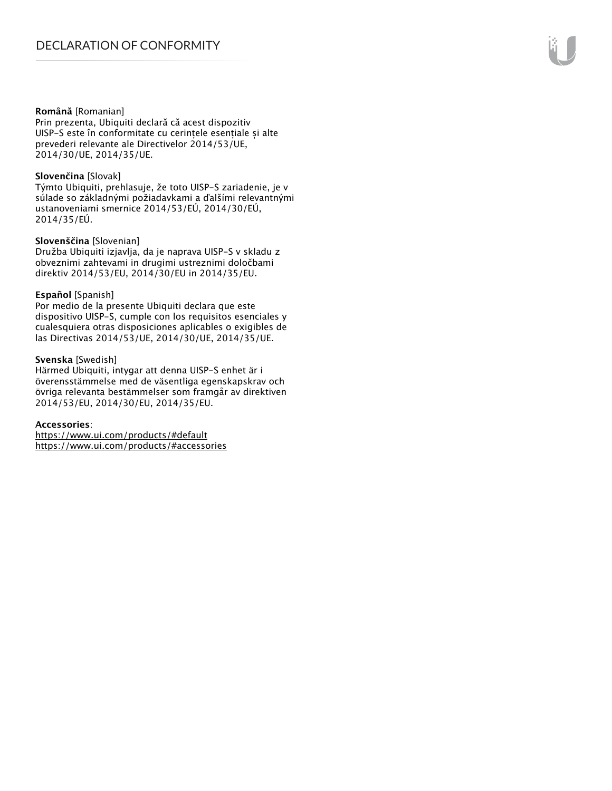#### **Română** [Romanian]

Prin prezenta, Ubiquiti declară că acest dispozitiv UISP-S este în conformitate cu cerințele esențiale și alte prevederi relevante ale Directivelor 2014/53/UE, 2014/30/UE, 2014/35/UE.

#### **Slovenčina** [Slovak]

Týmto Ubiquiti, prehlasuje, že toto UISP-S zariadenie, je v súlade so základnými požiadavkami a ďalšími relevantnými ustanoveniami smernice 2014/53/EÚ, 2014/30/EÚ, 2014/35/EÚ.

#### **Slovenščina** [Slovenian]

Družba Ubiquiti izjavlja, da je naprava UISP-S v skladu z obveznimi zahtevami in drugimi ustreznimi določbami direktiv 2014/53/EU, 2014/30/EU in 2014/35/EU.

#### **Español** [Spanish]

Por medio de la presente Ubiquiti declara que este dispositivo UISP-S, cumple con los requisitos esenciales y cualesquiera otras disposiciones aplicables o exigibles de las Directivas 2014/53/UE, 2014/30/UE, 2014/35/UE.

#### **Svenska** [Swedish]

Härmed Ubiquiti, intygar att denna UISP-S enhet är i överensstämmelse med de väsentliga egenskapskrav och övriga relevanta bestämmelser som framgår av direktiven 2014/53/EU, 2014/30/EU, 2014/35/EU.

#### **Accessories**:

https://www.ui.com/products/#default https://www.ui.com/products/#accessories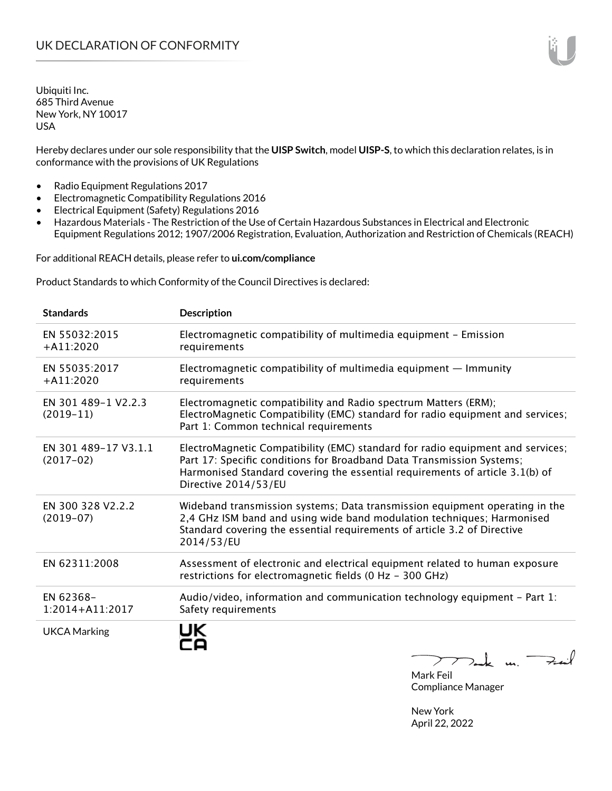Hereby declares under our sole responsibility that the **UISP Switch**, model **UISP-S**, to which this declaration relates, is in conformance with the provisions of UK Regulations

- Radio Equipment Regulations 2017
- Electromagnetic Compatibility Regulations 2016
- Electrical Equipment (Safety) Regulations 2016
- Hazardous Materials The Restriction of the Use of Certain Hazardous Substances in Electrical and Electronic Equipment Regulations 2012; 1907/2006 Registration, Evaluation, Authorization and Restriction of Chemicals (REACH)

For additional REACH details, please refer to **ui.com/compliance**

Product Standards to which Conformity of the Council Directives is declared:

| <b>Standards</b>                    | <b>Description</b>                                                                                                                                                                                                                                              |
|-------------------------------------|-----------------------------------------------------------------------------------------------------------------------------------------------------------------------------------------------------------------------------------------------------------------|
| EN 55032:2015<br>$+A11:2020$        | Electromagnetic compatibility of multimedia equipment - Emission<br>requirements                                                                                                                                                                                |
| EN 55035:2017<br>$+A11:2020$        | Electromagnetic compatibility of multimedia equipment $-$ Immunity<br>requirements                                                                                                                                                                              |
| EN 301 489-1 V2.2.3<br>$(2019-11)$  | Electromagnetic compatibility and Radio spectrum Matters (ERM);<br>ElectroMagnetic Compatibility (EMC) standard for radio equipment and services;<br>Part 1: Common technical requirements                                                                      |
| EN 301 489-17 V3.1.1<br>$(2017-02)$ | ElectroMagnetic Compatibility (EMC) standard for radio equipment and services;<br>Part 17: Specific conditions for Broadband Data Transmission Systems;<br>Harmonised Standard covering the essential requirements of article 3.1(b) of<br>Directive 2014/53/EU |
| EN 300 328 V2.2.2<br>$(2019-07)$    | Wideband transmission systems; Data transmission equipment operating in the<br>2,4 GHz ISM band and using wide band modulation techniques; Harmonised<br>Standard covering the essential requirements of article 3.2 of Directive<br>2014/53/EU                 |
| EN 62311:2008                       | Assessment of electronic and electrical equipment related to human exposure<br>restrictions for electromagnetic fields (0 Hz - 300 GHz)                                                                                                                         |
| EN 62368-<br>$1:2014 + A11:2017$    | Audio/video, information and communication technology equipment - Part 1:<br>Safety requirements                                                                                                                                                                |
| <b>UKCA Marking</b>                 |                                                                                                                                                                                                                                                                 |

 $222$  dark us.  $\neq$  in  $\lambda$ 

Mark Feil Compliance Manager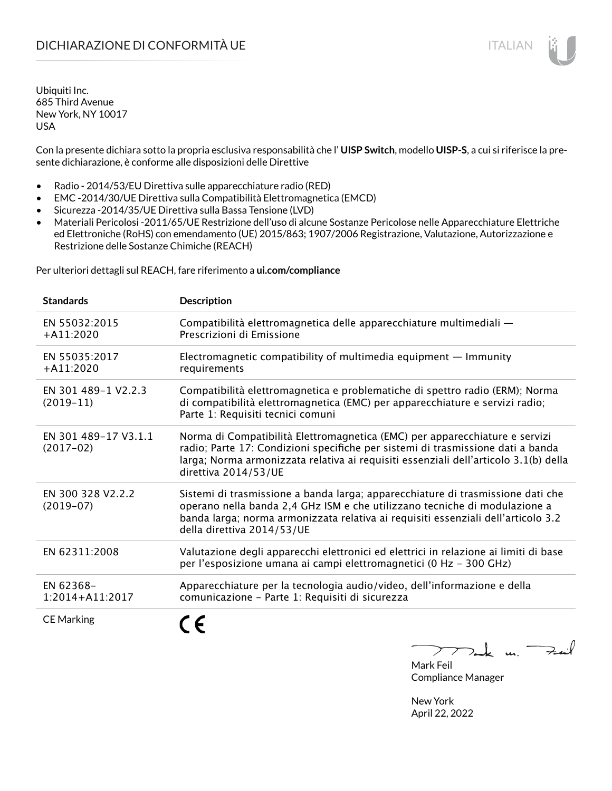Con la presente dichiara sotto la propria esclusiva responsabilità che l' **UISP Switch**, modello **UISP-S**, a cui si riferisce la presente dichiarazione, è conforme alle disposizioni delle Direttive

- Radio 2014/53/EU Direttiva sulle apparecchiature radio (RED)
- EMC -2014/30/UE Direttiva sulla Compatibilità Elettromagnetica (EMCD)
- Sicurezza -2014/35/UE Direttiva sulla Bassa Tensione (LVD)
- Materiali Pericolosi -2011/65/UE Restrizione dell'uso di alcune Sostanze Pericolose nelle Apparecchiature Elettriche ed Elettroniche (RoHS) con emendamento (UE) 2015/863; 1907/2006 Registrazione, Valutazione, Autorizzazione e Restrizione delle Sostanze Chimiche (REACH)

Per ulteriori dettagli sul REACH, fare riferimento a **ui.com/compliance**

| <b>Standards</b>                    | <b>Description</b>                                                                                                                                                                                                                                                               |
|-------------------------------------|----------------------------------------------------------------------------------------------------------------------------------------------------------------------------------------------------------------------------------------------------------------------------------|
| EN 55032:2015<br>$+$ A11:2020       | Compatibilità elettromagnetica delle apparecchiature multimediali -<br>Prescrizioni di Emissione                                                                                                                                                                                 |
| EN 55035:2017<br>$+$ A11:2020       | Electromagnetic compatibility of multimedia equipment $-$ Immunity<br>requirements                                                                                                                                                                                               |
| EN 301 489-1 V2.2.3<br>$(2019-11)$  | Compatibilità elettromagnetica e problematiche di spettro radio (ERM); Norma<br>di compatibilità elettromagnetica (EMC) per apparecchiature e servizi radio;<br>Parte 1: Requisiti tecnici comuni                                                                                |
| EN 301 489-17 V3.1.1<br>$(2017-02)$ | Norma di Compatibilità Elettromagnetica (EMC) per apparecchiature e servizi<br>radio; Parte 17: Condizioni specifiche per sistemi di trasmissione dati a banda<br>larga; Norma armonizzata relativa ai requisiti essenziali dell'articolo 3.1(b) della<br>direttiva 2014/53/UE   |
| EN 300 328 V2.2.2<br>$(2019-07)$    | Sistemi di trasmissione a banda larga; apparecchiature di trasmissione dati che<br>operano nella banda 2,4 GHz ISM e che utilizzano tecniche di modulazione a<br>banda larga; norma armonizzata relativa ai requisiti essenziali dell'articolo 3.2<br>della direttiva 2014/53/UE |
| EN 62311:2008                       | Valutazione degli apparecchi elettronici ed elettrici in relazione ai limiti di base<br>per l'esposizione umana ai campi elettromagnetici (0 Hz - 300 GHz)                                                                                                                       |
| EN 62368-<br>$1:2014 + A11:2017$    | Apparecchiature per la tecnologia audio/video, dell'informazione e della<br>comunicazione - Parte 1: Requisiti di sicurezza                                                                                                                                                      |
| <b>CE Marking</b>                   |                                                                                                                                                                                                                                                                                  |

 $\downarrow$  m. Feil  $\mathcal{I}$ 

Mark Feil Compliance Manager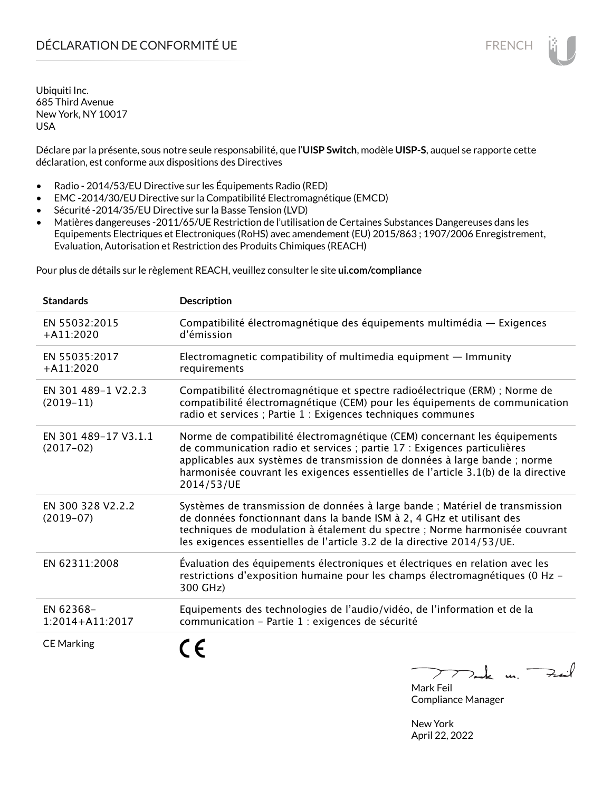Déclare par la présente, sous notre seule responsabilité, que l'**UISP Switch**, modèle **UISP-S**, auquel se rapporte cette déclaration, est conforme aux dispositions des Directives

- Radio 2014/53/EU Directive sur les Équipements Radio (RED)
- EMC -2014/30/EU Directive sur la Compatibilité Electromagnétique (EMCD)
- Sécurité -2014/35/EU Directive sur la Basse Tension (LVD)
- Matières dangereuses -2011/65/UE Restriction de l'utilisation de Certaines Substances Dangereuses dans les Equipements Electriques et Electroniques (RoHS) avec amendement (EU) 2015/863 ; 1907/2006 Enregistrement, Evaluation, Autorisation et Restriction des Produits Chimiques (REACH)

Pour plus de détails sur le règlement REACH, veuillez consulter le site **ui.com/compliance**

| <b>Standards</b>                    | <b>Description</b>                                                                                                                                                                                                                                                                                                                     |
|-------------------------------------|----------------------------------------------------------------------------------------------------------------------------------------------------------------------------------------------------------------------------------------------------------------------------------------------------------------------------------------|
| EN 55032:2015<br>$+A11:2020$        | Compatibilité électromagnétique des équipements multimédia — Exigences<br>d'émission                                                                                                                                                                                                                                                   |
| EN 55035:2017<br>$+A11:2020$        | Electromagnetic compatibility of multimedia equipment $-$ Immunity<br>requirements                                                                                                                                                                                                                                                     |
| EN 301 489-1 V2.2.3<br>$(2019-11)$  | Compatibilité électromagnétique et spectre radioélectrique (ERM) ; Norme de<br>compatibilité électromagnétique (CEM) pour les équipements de communication<br>radio et services ; Partie 1 : Exigences techniques communes                                                                                                             |
| EN 301 489-17 V3.1.1<br>$(2017-02)$ | Norme de compatibilité électromagnétique (CEM) concernant les équipements<br>de communication radio et services ; partie 17 : Exigences particulières<br>applicables aux systèmes de transmission de données à large bande ; norme<br>harmonisée couvrant les exigences essentielles de l'article 3.1(b) de la directive<br>2014/53/UE |
| EN 300 328 V2.2.2<br>$(2019-07)$    | Systèmes de transmission de données à large bande ; Matériel de transmission<br>de données fonctionnant dans la bande ISM à 2, 4 GHz et utilisant des<br>techniques de modulation à étalement du spectre ; Norme harmonisée couvrant<br>les exigences essentielles de l'article 3.2 de la directive 2014/53/UE.                        |
| EN 62311:2008                       | Évaluation des équipements électroniques et électriques en relation avec les<br>restrictions d'exposition humaine pour les champs électromagnétiques (0 Hz -<br>300 GHz)                                                                                                                                                               |
| EN 62368-<br>1:2014+A11:2017        | Equipements des technologies de l'audio/vidéo, de l'information et de la<br>communication - Partie 1 : exigences de sécurité                                                                                                                                                                                                           |
| <b>CE Marking</b>                   | n<br>$\mathbf{R}$                                                                                                                                                                                                                                                                                                                      |

 $\sum$  $\nabla_{\bf k}$  u. Fait Mark Feil

Compliance Manager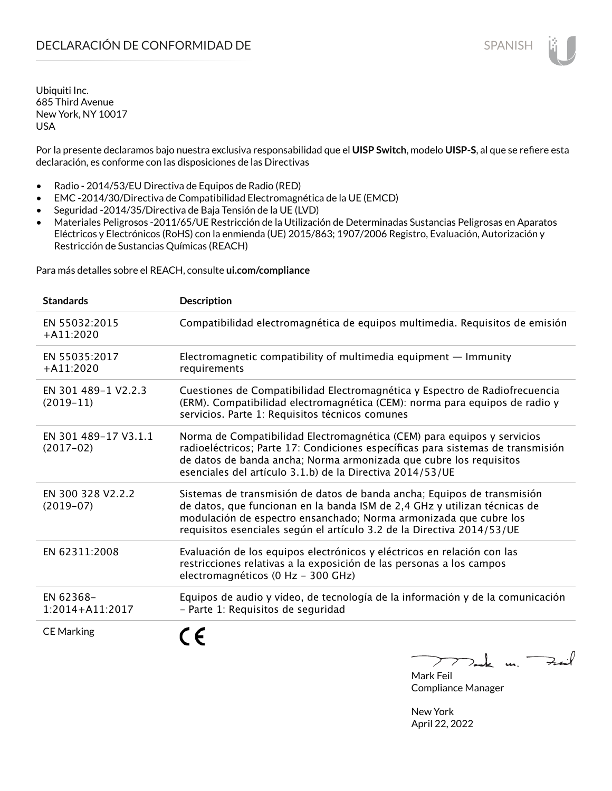Por la presente declaramos bajo nuestra exclusiva responsabilidad que el **UISP Switch**, modelo **UISP-S**, al que se refiere esta declaración, es conforme con las disposiciones de las Directivas

- Radio 2014/53/EU Directiva de Equipos de Radio (RED)
- EMC -2014/30/Directiva de Compatibilidad Electromagnética de la UE (EMCD)
- Seguridad -2014/35/Directiva de Baja Tensión de la UE (LVD)
- Materiales Peligrosos -2011/65/UE Restricción de la Utilización de Determinadas Sustancias Peligrosas en Aparatos Eléctricos y Electrónicos (RoHS) con la enmienda (UE) 2015/863; 1907/2006 Registro, Evaluación, Autorización y Restricción de Sustancias Químicas (REACH)

Para más detalles sobre el REACH, consulte **ui.com/compliance**

| <b>Standards</b>                    | <b>Description</b>                                                                                                                                                                                                                                                                                  |
|-------------------------------------|-----------------------------------------------------------------------------------------------------------------------------------------------------------------------------------------------------------------------------------------------------------------------------------------------------|
| EN 55032:2015<br>$+A11:2020$        | Compatibilidad electromagnética de equipos multimedia. Requisitos de emisión                                                                                                                                                                                                                        |
| EN 55035:2017<br>$+A11:2020$        | Electromagnetic compatibility of multimedia equipment - Immunity<br>requirements                                                                                                                                                                                                                    |
| EN 301 489-1 V2.2.3<br>$(2019-11)$  | Cuestiones de Compatibilidad Electromagnética y Espectro de Radiofrecuencia<br>(ERM). Compatibilidad electromagnética (CEM): norma para equipos de radio y<br>servicios. Parte 1: Requisitos técnicos comunes                                                                                       |
| EN 301 489-17 V3.1.1<br>$(2017-02)$ | Norma de Compatibilidad Electromagnética (CEM) para equipos y servicios<br>radioeléctricos; Parte 17: Condiciones específicas para sistemas de transmisión<br>de datos de banda ancha; Norma armonizada que cubre los requisitos<br>esenciales del artículo 3.1.b) de la Directiva 2014/53/UE       |
| EN 300 328 V2.2.2<br>$(2019-07)$    | Sistemas de transmisión de datos de banda ancha; Equipos de transmisión<br>de datos, que funcionan en la banda ISM de 2,4 GHz y utilizan técnicas de<br>modulación de espectro ensanchado; Norma armonizada que cubre los<br>requisitos esenciales según el artículo 3.2 de la Directiva 2014/53/UE |
| EN 62311:2008                       | Evaluación de los equipos electrónicos y eléctricos en relación con las<br>restricciones relativas a la exposición de las personas a los campos<br>electromagnéticos (0 Hz - 300 GHz)                                                                                                               |
| EN 62368-<br>1:2014+A11:2017        | Equipos de audio y vídeo, de tecnología de la información y de la comunicación<br>- Parte 1: Requisitos de seguridad                                                                                                                                                                                |
| <b>CE Marking</b>                   |                                                                                                                                                                                                                                                                                                     |

Tak m. Fail  $\sum$ 

Mark Feil Compliance Manager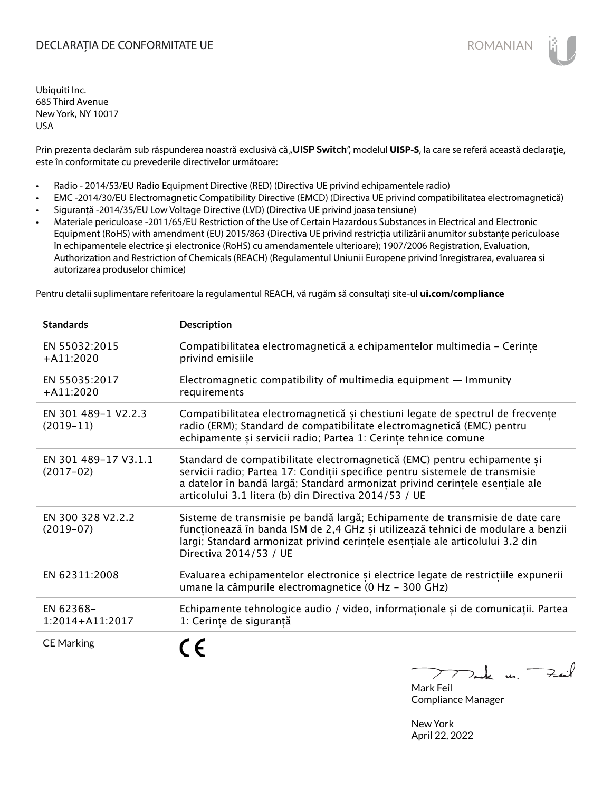# DECLARAȚIA DE CONFORMITATE UE EXECUTE DE ROMANIAN

Ubiquiti Inc. 685 Third Avenue New York, NY 10017 USA

Prin prezenta declarăm sub răspunderea noastră exclusivă că "**UISP Switch**", modelul **UISP-S**, la care se referă această declarație, este în conformitate cu prevederile directivelor următoare:

- Radio 2014/53/EU Radio Equipment Directive (RED) (Directiva UE privind echipamentele radio)
- EMC -2014/30/EU Electromagnetic Compatibility Directive (EMCD) (Directiva UE privind compatibilitatea electromagnetică)
- Siguranță -2014/35/EU Low Voltage Directive (LVD) (Directiva UE privind joasa tensiune)
- Materiale periculoase -2011/65/EU Restriction of the Use of Certain Hazardous Substances in Electrical and Electronic Equipment (RoHS) with amendment (EU) 2015/863 (Directiva UE privind restricția utilizării anumitor substanțe periculoase în echipamentele electrice și electronice (RoHS) cu amendamentele ulterioare); 1907/2006 Registration, Evaluation, Authorization and Restriction of Chemicals (REACH) (Regulamentul Uniunii Europene privind înregistrarea, evaluarea si autorizarea produselor chimice)

Pentru detalii suplimentare referitoare la regulamentul REACH, vă rugăm să consultați site-ul **ui.com/compliance**

| <b>Standards</b>                    | <b>Description</b>                                                                                                                                                                                                                                                                                |
|-------------------------------------|---------------------------------------------------------------------------------------------------------------------------------------------------------------------------------------------------------------------------------------------------------------------------------------------------|
| EN 55032:2015<br>$+$ A11:2020       | Compatibilitatea electromagnetică a echipamentelor multimedia - Cerințe<br>privind emisiile                                                                                                                                                                                                       |
| EN 55035:2017<br>$+A11:2020$        | Electromagnetic compatibility of multimedia equipment $-$ Immunity<br>requirements                                                                                                                                                                                                                |
| EN 301 489-1 V2.2.3<br>$(2019-11)$  | Compatibilitatea electromagnetică și chestiuni legate de spectrul de frecvențe<br>radio (ERM); Standard de compatibilitate electromagnetică (EMC) pentru<br>echipamente și servicii radio; Partea 1: Cerințe tehnice comune                                                                       |
| EN 301 489-17 V3.1.1<br>$(2017-02)$ | Standard de compatibilitate electromagnetică (EMC) pentru echipamente și<br>servicii radio; Partea 17: Condiții specifice pentru sistemele de transmisie<br>a datelor în bandă largă; Standard armonizat privind cerințele esențiale ale<br>articolului 3.1 litera (b) din Directiva 2014/53 / UE |
| EN 300 328 V2.2.2<br>$(2019-07)$    | Sisteme de transmisie pe bandă largă; Echipamente de transmisie de date care<br>funcționează în banda ISM de 2,4 GHz și utilizează tehnici de modulare a benzii<br>largi; Standard armonizat privind cerințele esențiale ale articolului 3.2 din<br>Directiva 2014/53 / UE                        |
| EN 62311:2008                       | Evaluarea echipamentelor electronice și electrice legate de restricțiile expunerii<br>umane la câmpurile electromagnetice (0 Hz - 300 GHz)                                                                                                                                                        |
| EN 62368-<br>1:2014+A11:2017        | Echipamente tehnologice audio / video, informaționale și de comunicații. Partea<br>1: Cerințe de siguranță                                                                                                                                                                                        |
| <b>CE Marking</b>                   |                                                                                                                                                                                                                                                                                                   |

 $k$  un  $\rightarrow$ Mark Feil

Compliance Manager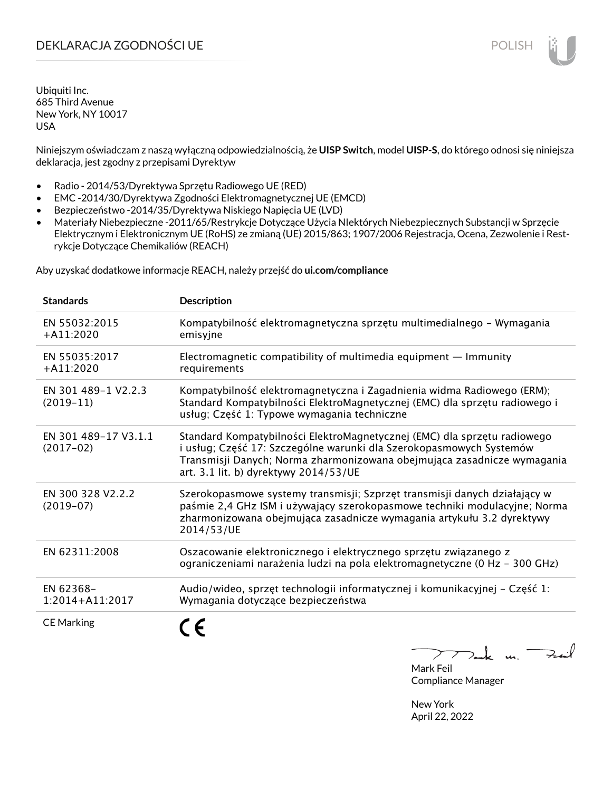# DEKLARACJA ZGODNOŚCI UE POLISH

Ubiquiti Inc. 685 Third Avenue New York, NY 10017 USA

Niniejszym oświadczam z naszą wyłączną odpowiedzialnością, że **UISP Switch**, model **UISP-S**, do którego odnosi się niniejsza deklaracja, jest zgodny z przepisami Dyrektyw

- Radio 2014/53/Dyrektywa Sprzętu Radiowego UE (RED)
- EMC -2014/30/Dyrektywa Zgodności Elektromagnetycznej UE (EMCD)
- Bezpieczeństwo -2014/35/Dyrektywa Niskiego Napięcia UE (LVD)
- Materiały Niebezpieczne -2011/65/Restrykcje Dotyczące Użycia NIektórych Niebezpiecznych Substancji w Sprzęcie Elektrycznym i Elektronicznym UE (RoHS) ze zmianą (UE) 2015/863; 1907/2006 Rejestracja, Ocena, Zezwolenie i Restrykcje Dotyczące Chemikaliów (REACH)

Aby uzyskać dodatkowe informacje REACH, należy przejść do **ui.com/compliance**

| <b>Standards</b>                    | <b>Description</b>                                                                                                                                                                                                                                                  |
|-------------------------------------|---------------------------------------------------------------------------------------------------------------------------------------------------------------------------------------------------------------------------------------------------------------------|
| EN 55032:2015<br>$+A11:2020$        | Kompatybilność elektromagnetyczna sprzętu multimedialnego – Wymagania<br>emisyjne                                                                                                                                                                                   |
| EN 55035:2017<br>$+A11:2020$        | Electromagnetic compatibility of multimedia equipment $-$ Immunity<br>requirements                                                                                                                                                                                  |
| EN 301 489-1 V2.2.3<br>$(2019-11)$  | Kompatybilność elektromagnetyczna i Zagadnienia widma Radiowego (ERM);<br>Standard Kompatybilności ElektroMagnetycznej (EMC) dla sprzętu radiowego i<br>usług; Część 1: Typowe wymagania techniczne                                                                 |
| EN 301 489-17 V3.1.1<br>$(2017-02)$ | Standard Kompatybilności ElektroMagnetycznej (EMC) dla sprzętu radiowego<br>i usług; Część 17: Szczególne warunki dla Szerokopasmowych Systemów<br>Transmisji Danych; Norma zharmonizowana obejmująca zasadnicze wymagania<br>art. 3.1 lit. b) dyrektywy 2014/53/UE |
| EN 300 328 V2.2.2<br>$(2019-07)$    | Szerokopasmowe systemy transmisji; Szprzęt transmisji danych działający w<br>paśmie 2,4 GHz ISM i używający szerokopasmowe techniki modulacyjne; Norma<br>zharmonizowana obejmująca zasadnicze wymagania artykułu 3.2 dyrektywy<br>2014/53/UE                       |
| EN 62311:2008                       | Oszacowanie elektronicznego i elektrycznego sprzętu związanego z<br>ograniczeniami narażenia ludzi na pola elektromagnetyczne (0 Hz - 300 GHz)                                                                                                                      |
| EN 62368-<br>$1:2014 + A11:2017$    | Audio/wideo, sprzęt technologii informatycznej i komunikacyjnej – Część 1:<br>Wymagania dotyczące bezpieczeństwa                                                                                                                                                    |
| <b>CE Marking</b>                   |                                                                                                                                                                                                                                                                     |

لأمدح  $\mathbf{u}$ 

Mark Feil Compliance Manager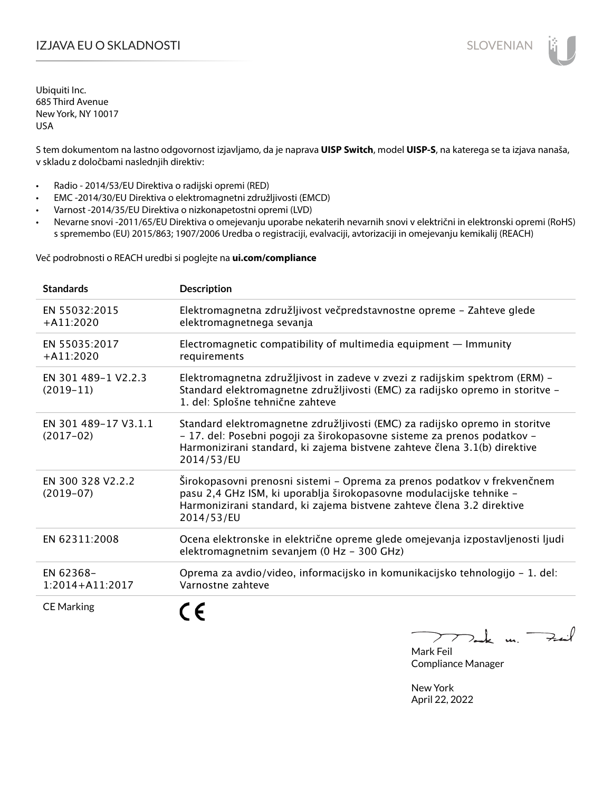# I**ZJAVA EU O SKLADNOSTI** SLOVENIAN

Ubiquiti Inc. 685 Third Avenue New York, NY 10017 USA

S tem dokumentom na lastno odgovornost izjavljamo, da je naprava **UISP Switch**, model **UISP-S**, na katerega se ta izjava nanaša, v skladu z določbami naslednjih direktiv:

- Radio 2014/53/EU Direktiva o radijski opremi (RED)
- EMC -2014/30/EU Direktiva o elektromagnetni združljivosti (EMCD)
- Varnost -2014/35/EU Direktiva o nizkonapetostni opremi (LVD)
- Nevarne snovi -2011/65/EU Direktiva o omejevanju uporabe nekaterih nevarnih snovi v električni in elektronski opremi (RoHS) s spremembo (EU) 2015/863; 1907/2006 Uredba o registraciji, evalvaciji, avtorizaciji in omejevanju kemikalij (REACH)

Več podrobnosti o REACH uredbi si poglejte na **ui.com/compliance**

| <b>Standards</b>                    | <b>Description</b>                                                                                                                                                                                                                                |
|-------------------------------------|---------------------------------------------------------------------------------------------------------------------------------------------------------------------------------------------------------------------------------------------------|
| EN 55032:2015<br>$+A11:2020$        | Elektromagnetna združljivost večpredstavnostne opreme - Zahteve glede<br>elektromagnetnega sevanja                                                                                                                                                |
| EN 55035:2017<br>$+$ A11:2020       | Electromagnetic compatibility of multimedia equipment $-$ Immunity<br>requirements                                                                                                                                                                |
| EN 301 489-1 V2.2.3<br>$(2019-11)$  | Elektromagnetna združljivost in zadeve v zvezi z radijskim spektrom (ERM) -<br>Standard elektromagnetne združljivosti (EMC) za radijsko opremo in storitve -<br>1. del: Splošne tehnične zahteve                                                  |
| EN 301 489-17 V3.1.1<br>$(2017-02)$ | Standard elektromagnetne združljivosti (EMC) za radijsko opremo in storitve<br>- 17. del: Posebni pogoji za širokopasovne sisteme za prenos podatkov -<br>Harmonizirani standard, ki zajema bistvene zahteve člena 3.1(b) direktive<br>2014/53/EU |
| EN 300 328 V2.2.2<br>$(2019-07)$    | Širokopasovni prenosni sistemi - Oprema za prenos podatkov v frekvenčnem<br>pasu 2,4 GHz ISM, ki uporablja širokopasovne modulacijske tehnike -<br>Harmonizirani standard, ki zajema bistvene zahteve člena 3.2 direktive<br>2014/53/EU           |
| EN 62311:2008                       | Ocena elektronske in električne opreme glede omejevanja izpostavljenosti ljudi<br>elektromagnetnim sevanjem (0 Hz - 300 GHz)                                                                                                                      |
| EN 62368-<br>1:2014+A11:2017        | Oprema za avdio/video, informacijsko in komunikacijsko tehnologijo – 1. del:<br>Varnostne zahteve                                                                                                                                                 |
| <b>CE Marking</b>                   |                                                                                                                                                                                                                                                   |

m. Fail

Mark Feil Compliance Manager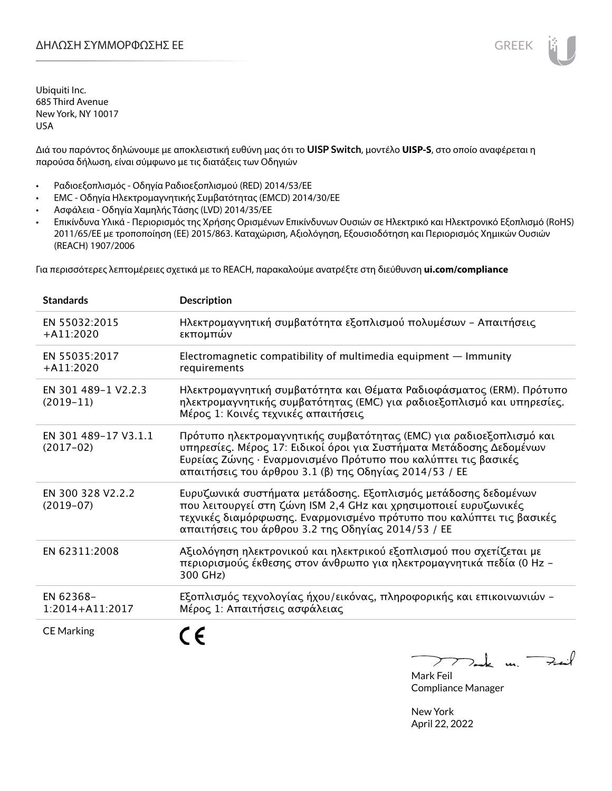Διά του παρόντος δηλώνουμε με αποκλειστική ευθύνη μας ότι το **UISP Switch**, μοντέλο **UISP-S**, στο οποίο αναφέρεται η παρούσα δήλωση, είναι σύμφωνο με τις διατάξεις των Οδηγιών

- Ραδιοεξοπλισμός Οδηγία Ραδιοεξοπλισμού (RED) 2014/53/ΕΕ
- EMC Οδηγία Ηλεκτρομαγνητικής Συμβατότητας (EMCD) 2014/30/ΕΕ
- Ασφάλεια Οδηγία Χαμηλής Τάσης (LVD) 2014/35/ΕΕ
- Επικίνδυνα Υλικά Περιορισμός της Χρήσης Ορισμένων Επικίνδυνων Ουσιών σε Ηλεκτρικό και Ηλεκτρονικό Εξοπλισμό (RoHS) 2011/65/ΕΕ με τροποποίηση (ΕΕ) 2015/863. Καταχώριση, Αξιολόγηση, Εξουσιοδότηση και Περιορισμός Χημικών Ουσιών (REACH) 1907/2006

Για περισσότερες λεπτομέρειες σχετικά με το REACH, παρακαλούμε ανατρέξτε στη διεύθυνση **ui.com/compliance**

| <b>Standards</b>                    | <b>Description</b>                                                                                                                                                                                                                                                     |
|-------------------------------------|------------------------------------------------------------------------------------------------------------------------------------------------------------------------------------------------------------------------------------------------------------------------|
| EN 55032:2015<br>$+A11:2020$        | Ηλεκτρομαγνητική συμβατότητα εξοπλισμού πολυμέσων - Απαιτήσεις<br>εκπομπών                                                                                                                                                                                             |
| EN 55035:2017<br>$+A11:2020$        | Electromagnetic compatibility of multimedia equipment $-$ Immunity<br>requirements                                                                                                                                                                                     |
| EN 301 489-1 V2.2.3<br>$(2019-11)$  | Ηλεκτρομαγνητική συμβατότητα και Θέματα Ραδιοφάσματος (ERM). Πρότυπο<br>ηλεκτρομαγνητικής συμβατότητας (ΕΜC) για ραδιοεξοπλισμό και υπηρεσίες.<br>Μέρος 1: Κοινές τεχνικές απαιτήσεις                                                                                  |
| EN 301 489-17 V3.1.1<br>$(2017-02)$ | Πρότυπο ηλεκτρομαγνητικής συμβατότητας (EMC) για ραδιοεξοπλισμό και<br>υπηρεσίες. Μέρος 17: Ειδικοί όροι για Συστήματα Μετάδοσης Δεδομένων<br>Ευρείας Ζώνης · Εναρμονισμένο Πρότυπο που καλύπτει τις βασικές<br>απαιτήσεις του άρθρου 3.1 (β) της Οδηγίας 2014/53 / ΕΕ |
| EN 300 328 V2.2.2<br>$(2019-07)$    | Ευρυζωνικά συστήματα μετάδοσης. Εξοπλισμός μετάδοσης δεδομένων<br>που λειτουργεί στη ζώνη ISM 2,4 GHz και χρησιμοποιεί ευρυζωνικές<br>τεχνικές διαμόρφωσης. Εναρμονισμένο πρότυπο που καλύπτει τις βασικές<br>απαιτήσεις του άρθρου 3.2 της Οδηγίας 2014/53 / ΕΕ       |
| EN 62311:2008                       | Αξιολόγηση ηλεκτρονικού και ηλεκτρικού εξοπλισμού που σχετίζεται με<br>περιορισμούς έκθεσης στον άνθρωπο για ηλεκτρομαγνητικά πεδία (0 Hz -<br>300 GHz)                                                                                                                |
| EN 62368-<br>1:2014+A11:2017        | Εξοπλισμός τεχνολογίας ήχου/εικόνας, πληροφορικής και επικοινωνιών -<br>Μέρος 1: Απαιτήσεις ασφάλειας                                                                                                                                                                  |
| <b>CE Marking</b>                   |                                                                                                                                                                                                                                                                        |

Tak un Fail  $\mathcal{F}$  $\overline{\phantom{a}}$ 

Mark Feil Compliance Manager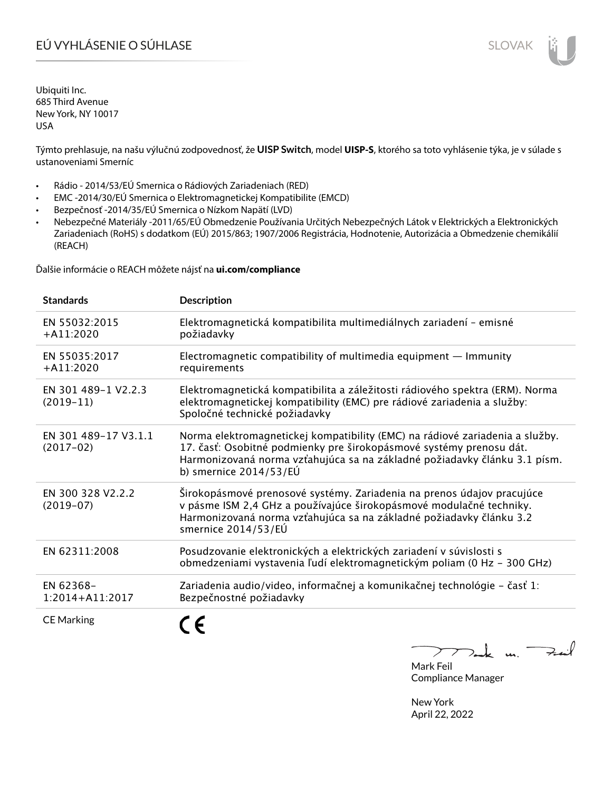# EÚ VYHLÁSENIE O SÚHLASE SLOVAK SLOVAK

Ubiquiti Inc. 685 Third Avenue New York, NY 10017 USA

Týmto prehlasuje, na našu výlučnú zodpovednosť, že **UISP Switch**, model **UISP-S**, ktorého sa toto vyhlásenie týka, je v súlade s ustanoveniami Smerníc

- Rádio 2014/53/EÚ Smernica o Rádiových Zariadeniach (RED)
- EMC -2014/30/EÚ Smernica o Elektromagnetickej Kompatibilite (EMCD)
- Bezpečnosť -2014/35/EÚ Smernica o Nízkom Napätí (LVD)
- Nebezpečné Materiály -2011/65/EÚ Obmedzenie Používania Určitých Nebezpečných Látok v Elektrických a Elektronických Zariadeniach (RoHS) s dodatkom (EÚ) 2015/863; 1907/2006 Registrácia, Hodnotenie, Autorizácia a Obmedzenie chemikálií (REACH)

Ďalšie informácie o REACH môžete nájsť na **ui.com/compliance**

| <b>Standards</b>                    | <b>Description</b>                                                                                                                                                                                                                                           |
|-------------------------------------|--------------------------------------------------------------------------------------------------------------------------------------------------------------------------------------------------------------------------------------------------------------|
| EN 55032:2015<br>$+A11:2020$        | Elektromagnetická kompatibilita multimediálnych zariadení - emisné<br>požiadavky                                                                                                                                                                             |
| EN 55035:2017<br>$+$ A11:2020       | Electromagnetic compatibility of multimedia equipment - Immunity<br>requirements                                                                                                                                                                             |
| EN 301 489-1 V2.2.3<br>$(2019-11)$  | Elektromagnetická kompatibilita a záležitosti rádiového spektra (ERM). Norma<br>elektromagnetickej kompatibility (EMC) pre rádiové zariadenia a služby:<br>Spoločné technické požiadavky                                                                     |
| EN 301 489-17 V3.1.1<br>$(2017-02)$ | Norma elektromagnetickej kompatibility (EMC) na rádiové zariadenia a služby.<br>17. časť: Osobitné podmienky pre širokopásmové systémy prenosu dát.<br>Harmonizovaná norma vzťahujúca sa na základné požiadavky článku 3.1 písm.<br>b) smernice $2014/53/EU$ |
| EN 300 328 V2.2.2<br>$(2019-07)$    | Širokopásmové prenosové systémy. Zariadenia na prenos údajov pracujúce<br>v pásme ISM 2,4 GHz a používajúce širokopásmové modulačné techniky.<br>Harmonizovaná norma vzťahujúca sa na základné požiadavky článku 3.2<br>smernice 2014/53/EÚ                  |
| EN 62311:2008                       | Posudzovanie elektronických a elektrických zariadení v súvislosti s<br>obmedzeniami vystavenia ľudí elektromagnetickým poliam (0 Hz - 300 GHz)                                                                                                               |
| EN 62368-<br>$1:2014 + A11:2017$    | Zariadenia audio/video, informačnej a komunikačnej technológie – časť 1:<br>Bezpečnostné požiadavky                                                                                                                                                          |
| <b>CE Marking</b>                   |                                                                                                                                                                                                                                                              |

 $k$  un  $\rightarrow$  $\sum$ 

Mark Feil Compliance Manager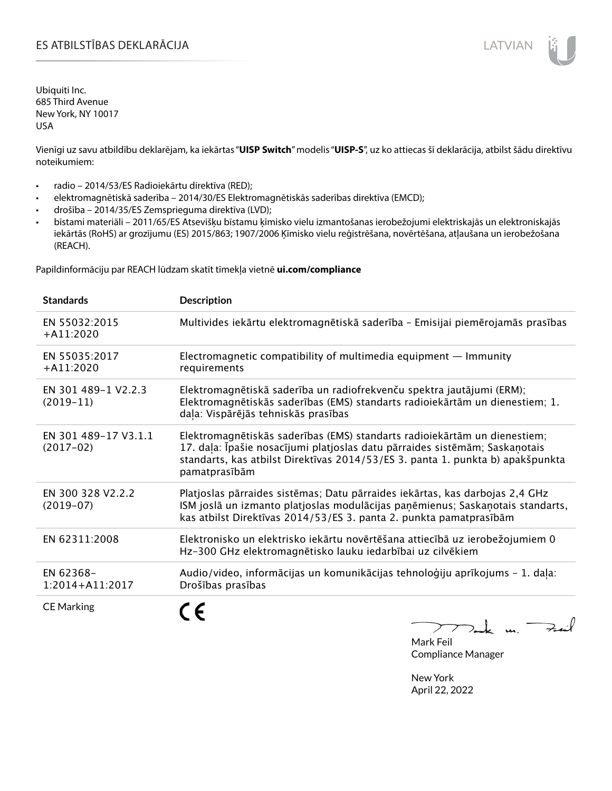Vienīgi uz savu atbildību deklarējam, ka iekārtas "**UISP Switch**" modelis "**UISP-S**", uz ko attiecas šī deklarācija, atbilst šādu direktīvu noteikumiem:

- radio 2014/53/ES Radioiekārtu direktīva (RED);
- elektromagnētiskā saderība 2014/30/ES Elektromagnētiskās saderības direktīva (EMCD);
- drošība 2014/35/ES Zemsprieguma direktīva (LVD);
- bīstami materiāli 2011/65/ES Atsevišķu bīstamu ķīmisko vielu izmantošanas ierobežojumi elektriskajās un elektroniskajās iekārtās (RoHS) ar grozījumu (ES) 2015/863; 1907/2006 Ķīmisko vielu reģistrēšana, novērtēšana, atļaušana un ierobežošana (REACH).

Papildinformāciju par REACH lūdzam skatīt tīmekļa vietnē **ui.com/compliance**

| <b>Standards</b>                    | <b>Description</b>                                                                                                                                                                                                                                          |
|-------------------------------------|-------------------------------------------------------------------------------------------------------------------------------------------------------------------------------------------------------------------------------------------------------------|
| EN 55032:2015<br>$+A11:2020$        | Multivides iekārtu elektromagnētiskā saderība - Emisijai piemērojamās prasības                                                                                                                                                                              |
| EN 55035:2017<br>$+A11:2020$        | Electromagnetic compatibility of multimedia equipment $-$ Immunity<br>requirements                                                                                                                                                                          |
| EN 301 489-1 V2.2.3<br>$(2019-11)$  | Elektromagnētiskā saderība un radiofrekvenču spektra jautājumi (ERM);<br>Elektromagnētiskās saderības (EMS) standarts radioiekārtām un dienestiem; 1.<br>daļa: Vispārējās tehniskās prasības                                                                |
| EN 301 489-17 V3.1.1<br>$(2017-02)$ | Elektromagnētiskās saderības (EMS) standarts radioiekārtām un dienestiem;<br>17. daļa: Īpašie nosacījumi platjoslas datu pārraides sistēmām; Saskaņotais<br>standarts, kas atbilst Direktīvas 2014/53/ES 3. panta 1. punkta b) apakšpunkta<br>pamatprasībām |
| EN 300 328 V2.2.2<br>$(2019-07)$    | Platjoslas pārraides sistēmas; Datu pārraides iekārtas, kas darbojas 2,4 GHz<br>ISM joslā un izmanto platjoslas modulācijas paņēmienus; Saskaņotais standarts,<br>kas atbilst Direktīvas 2014/53/ES 3. panta 2. punkta pamatprasībām                        |
| EN 62311:2008                       | Elektronisko un elektrisko iekārtu novērtēšana attiecībā uz ierobežojumiem 0<br>Hz-300 GHz elektromagnētisko lauku iedarbībai uz cilvēkiem                                                                                                                  |
| EN 62368-<br>1:2014+A11:2017        | Audio/video, informācijas un komunikācijas tehnoloģiju aprīkojums - 1. daļa:<br>Drošības prasības                                                                                                                                                           |
| <b>CE Marking</b>                   |                                                                                                                                                                                                                                                             |

 $772$  de un Fail

Mark Feil Compliance Manager